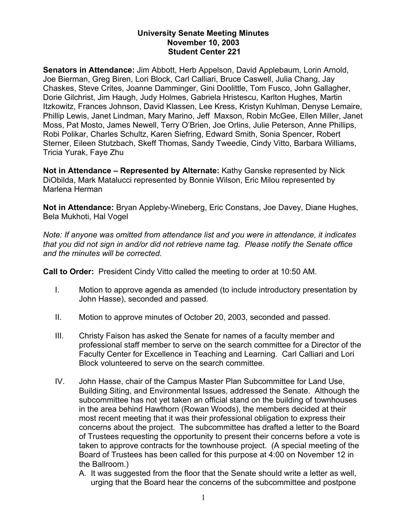## **University Senate Meeting Minutes November 10, 2003 Student Center 221**

**Senators in Attendance:** Jim Abbott, Herb Appelson, David Applebaum, Lorin Arnold, Joe Bierman, Greg Biren, Lori Block, Carl Calliari, Bruce Caswell, Julia Chang, Jay Chaskes, Steve Crites, Joanne Damminger, Gini Doolittle, Tom Fusco, John Gallagher, Dorie Gilchrist, Jim Haugh, Judy Holmes, Gabriela Hristescu, Karlton Hughes, Martin Itzkowitz, Frances Johnson, David Klassen, Lee Kress, Kristyn Kuhlman, Denyse Lemaire, Phillip Lewis, Janet Lindman, Mary Marino, Jeff Maxson, Robin McGee, Ellen Miller, Janet Moss, Pat Mosto, James Newell, Terry O'Brien, Joe Orlins, Julie Peterson, Anne Phillips, Robi Polikar, Charles Schultz, Karen Siefring, Edward Smith, Sonia Spencer, Robert Sterner, Eileen Stutzbach, Skeff Thomas, Sandy Tweedie, Cindy Vitto, Barbara Williams, Tricia Yurak, Faye Zhu

**Not in Attendance – Represented by Alternate:** Kathy Ganske represented by Nick DiObilda, Mark Matalucci represented by Bonnie Wilson, Eric Milou represented by Marlena Herman

**Not in Attendance:** Bryan Appleby-Wineberg, Eric Constans, Joe Davey, Diane Hughes, Bela Mukhoti, Hal Vogel

*Note: If anyone was omitted from attendance list and you were in attendance, it indicates that you did not sign in and/or did not retrieve name tag. Please notify the Senate office and the minutes will be corrected.* 

**Call to Order:** President Cindy Vitto called the meeting to order at 10:50 AM.

- I. Motion to approve agenda as amended (to include introductory presentation by John Hasse), seconded and passed.
- II. Motion to approve minutes of October 20, 2003, seconded and passed.
- III. Christy Faison has asked the Senate for names of a faculty member and professional staff member to serve on the search committee for a Director of the Faculty Center for Excellence in Teaching and Learning. Carl Calliari and Lori Block volunteered to serve on the search committee.
- IV. John Hasse, chair of the Campus Master Plan Subcommittee for Land Use, Building Siting, and Environmental Issues, addressed the Senate. Although the subcommittee has not yet taken an official stand on the building of townhouses in the area behind Hawthorn (Rowan Woods), the members decided at their most recent meeting that it was their professional obligation to express their concerns about the project. The subcommittee has drafted a letter to the Board of Trustees requesting the opportunity to present their concerns before a vote is taken to approve contracts for the townhouse project. (A special meeting of the Board of Trustees has been called for this purpose at 4:00 on November 12 in the Ballroom.)
	- A. It was suggested from the floor that the Senate should write a letter as well, urging that the Board hear the concerns of the subcommittee and postpone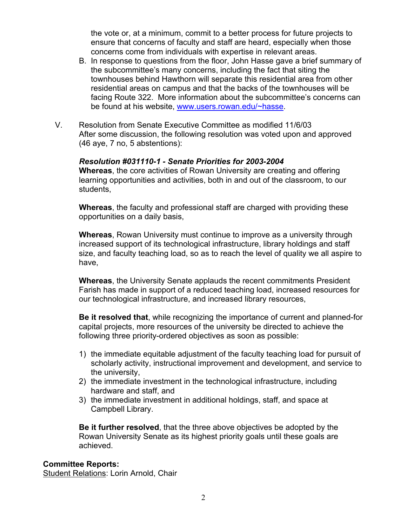the vote or, at a minimum, commit to a better process for future projects to ensure that concerns of faculty and staff are heard, especially when those concerns come from individuals with expertise in relevant areas.

- B. In response to questions from the floor, John Hasse gave a brief summary of the subcommittee's many concerns, including the fact that siting the townhouses behind Hawthorn will separate this residential area from other residential areas on campus and that the backs of the townhouses will be facing Route 322. More information about the subcommittee's concerns can be found at his website, [www.users.rowan.edu/~hasse.](http://www.users.rowan.edu/~hasse)
- V. Resolution from Senate Executive Committee as modified 11/6/03 After some discussion, the following resolution was voted upon and approved (46 aye, 7 no, 5 abstentions):

## *Resolution #031110-1 - Senate Priorities for 2003-2004*

**Whereas**, the core activities of Rowan University are creating and offering learning opportunities and activities, both in and out of the classroom, to our students,

**Whereas**, the faculty and professional staff are charged with providing these opportunities on a daily basis,

**Whereas**, Rowan University must continue to improve as a university through increased support of its technological infrastructure, library holdings and staff size, and faculty teaching load, so as to reach the level of quality we all aspire to have,

**Whereas**, the University Senate applauds the recent commitments President Farish has made in support of a reduced teaching load, increased resources for our technological infrastructure, and increased library resources,

**Be it resolved that**, while recognizing the importance of current and planned-for capital projects, more resources of the university be directed to achieve the following three priority-ordered objectives as soon as possible:

- 1) the immediate equitable adjustment of the faculty teaching load for pursuit of scholarly activity, instructional improvement and development, and service to the university,
- 2) the immediate investment in the technological infrastructure, including hardware and staff, and
- 3) the immediate investment in additional holdings, staff, and space at Campbell Library.

**Be it further resolved**, that the three above objectives be adopted by the Rowan University Senate as its highest priority goals until these goals are achieved.

#### **Committee Reports:**

Student Relations: Lorin Arnold, Chair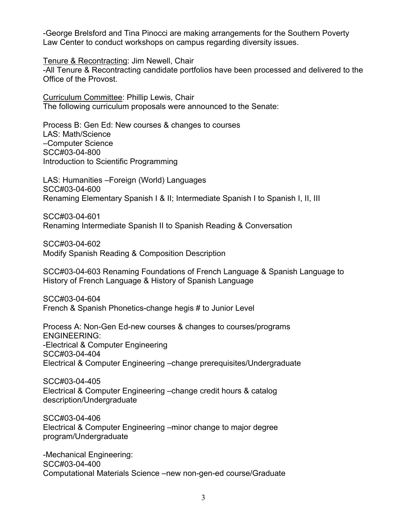-George Brelsford and Tina Pinocci are making arrangements for the Southern Poverty Law Center to conduct workshops on campus regarding diversity issues.

Tenure & Recontracting: Jim Newell, Chair

-All Tenure & Recontracting candidate portfolios have been processed and delivered to the Office of the Provost.

Curriculum Committee: Phillip Lewis, Chair The following curriculum proposals were announced to the Senate:

Process B: Gen Ed: New courses & changes to courses LAS: Math/Science –Computer Science SCC#03-04-800 Introduction to Scientific Programming

LAS: Humanities –Foreign (World) Languages SCC#03-04-600 Renaming Elementary Spanish I & II; Intermediate Spanish I to Spanish I, II, III

SCC#03-04-601 Renaming Intermediate Spanish II to Spanish Reading & Conversation

SCC#03-04-602 Modify Spanish Reading & Composition Description

SCC#03-04-603 Renaming Foundations of French Language & Spanish Language to History of French Language & History of Spanish Language

SCC#03-04-604 French & Spanish Phonetics-change hegis # to Junior Level

Process A: Non-Gen Ed-new courses & changes to courses/programs ENGINEERING: -Electrical & Computer Engineering SCC#03-04-404 Electrical & Computer Engineering –change prerequisites/Undergraduate

SCC#03-04-405 Electrical & Computer Engineering –change credit hours & catalog description/Undergraduate

SCC#03-04-406 Electrical & Computer Engineering –minor change to major degree program/Undergraduate

-Mechanical Engineering: SCC#03-04-400 Computational Materials Science –new non-gen-ed course/Graduate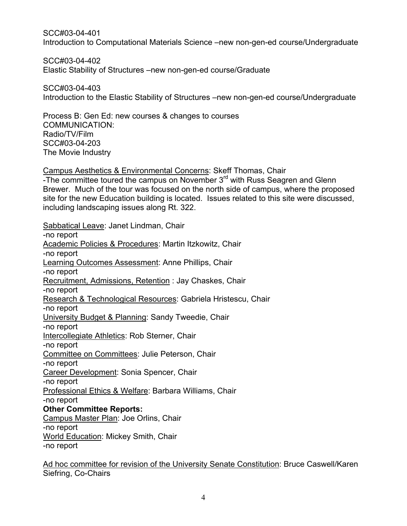SCC#03-04-401 Introduction to Computational Materials Science –new non-gen-ed course/Undergraduate

SCC#03-04-402 Elastic Stability of Structures –new non-gen-ed course/Graduate

SCC#03-04-403 Introduction to the Elastic Stability of Structures –new non-gen-ed course/Undergraduate

Process B: Gen Ed: new courses & changes to courses COMMUNICATION: Radio/TV/Film SCC#03-04-203 The Movie Industry

Campus Aesthetics & Environmental Concerns: Skeff Thomas, Chair -The committee toured the campus on November 3<sup>rd</sup> with Russ Seagren and Glenn Brewer. Much of the tour was focused on the north side of campus, where the proposed site for the new Education building is located. Issues related to this site were discussed, including landscaping issues along Rt. 322.

Sabbatical Leave: Janet Lindman, Chair -no report Academic Policies & Procedures: Martin Itzkowitz, Chair -no report Learning Outcomes Assessment: Anne Phillips, Chair -no report Recruitment, Admissions, Retention : Jay Chaskes, Chair -no report Research & Technological Resources: Gabriela Hristescu, Chair -no report University Budget & Planning: Sandy Tweedie, Chair -no report Intercollegiate Athletics: Rob Sterner, Chair -no report Committee on Committees: Julie Peterson, Chair -no report Career Development: Sonia Spencer, Chair -no report Professional Ethics & Welfare: Barbara Williams, Chair -no report **Other Committee Reports:**  Campus Master Plan: Joe Orlins, Chair -no report World Education: Mickey Smith, Chair -no report

Ad hoc committee for revision of the University Senate Constitution: Bruce Caswell/Karen Siefring, Co-Chairs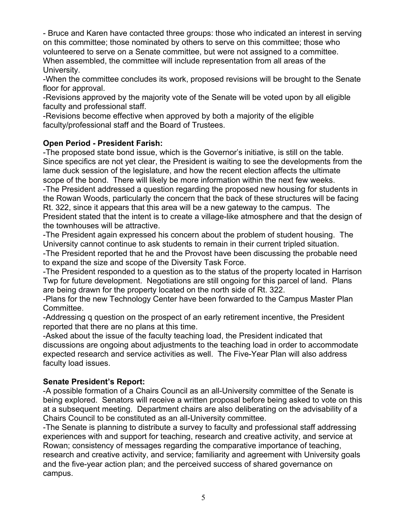- Bruce and Karen have contacted three groups: those who indicated an interest in serving on this committee; those nominated by others to serve on this committee; those who volunteered to serve on a Senate committee, but were not assigned to a committee. When assembled, the committee will include representation from all areas of the University.

-When the committee concludes its work, proposed revisions will be brought to the Senate floor for approval.

-Revisions approved by the majority vote of the Senate will be voted upon by all eligible faculty and professional staff.

-Revisions become effective when approved by both a majority of the eligible faculty/professional staff and the Board of Trustees.

## **Open Period - President Farish:**

-The proposed state bond issue, which is the Governor's initiative, is still on the table. Since specifics are not yet clear, the President is waiting to see the developments from the lame duck session of the legislature, and how the recent election affects the ultimate scope of the bond. There will likely be more information within the next few weeks. -The President addressed a question regarding the proposed new housing for students in the Rowan Woods, particularly the concern that the back of these structures will be facing Rt. 322, since it appears that this area will be a new gateway to the campus. The President stated that the intent is to create a village-like atmosphere and that the design of the townhouses will be attractive.

-The President again expressed his concern about the problem of student housing. The University cannot continue to ask students to remain in their current tripled situation.

-The President reported that he and the Provost have been discussing the probable need to expand the size and scope of the Diversity Task Force.

-The President responded to a question as to the status of the property located in Harrison Twp for future development. Negotiations are still ongoing for this parcel of land. Plans are being drawn for the property located on the north side of Rt. 322.

-Plans for the new Technology Center have been forwarded to the Campus Master Plan Committee.

-Addressing q question on the prospect of an early retirement incentive, the President reported that there are no plans at this time.

-Asked about the issue of the faculty teaching load, the President indicated that discussions are ongoing about adjustments to the teaching load in order to accommodate expected research and service activities as well. The Five-Year Plan will also address faculty load issues.

# **Senate President's Report:**

-A possible formation of a Chairs Council as an all-University committee of the Senate is being explored. Senators will receive a written proposal before being asked to vote on this at a subsequent meeting. Department chairs are also deliberating on the advisability of a Chairs Council to be constituted as an all-University committee.

-The Senate is planning to distribute a survey to faculty and professional staff addressing experiences with and support for teaching, research and creative activity, and service at Rowan; consistency of messages regarding the comparative importance of teaching, research and creative activity, and service; familiarity and agreement with University goals and the five-year action plan; and the perceived success of shared governance on campus.